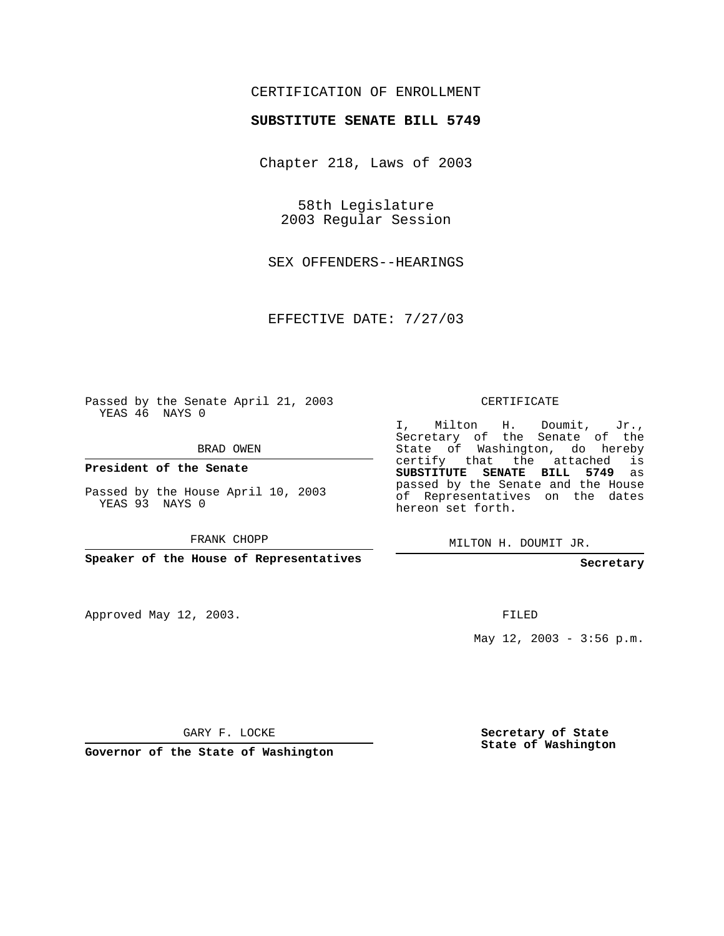## CERTIFICATION OF ENROLLMENT

## **SUBSTITUTE SENATE BILL 5749**

Chapter 218, Laws of 2003

58th Legislature 2003 Regular Session

SEX OFFENDERS--HEARINGS

EFFECTIVE DATE: 7/27/03

Passed by the Senate April 21, 2003 YEAS 46 NAYS 0

BRAD OWEN

**President of the Senate**

Passed by the House April 10, 2003 YEAS 93 NAYS 0

FRANK CHOPP

**Speaker of the House of Representatives**

Approved May 12, 2003.

CERTIFICATE

I, Milton H. Doumit, Jr., Secretary of the Senate of the State of Washington, do hereby certify that the attached is **SUBSTITUTE SENATE BILL 5749** as passed by the Senate and the House of Representatives on the dates hereon set forth.

MILTON H. DOUMIT JR.

**Secretary**

FILED

May  $12$ ,  $2003 - 3:56$  p.m.

GARY F. LOCKE

**Governor of the State of Washington**

**Secretary of State State of Washington**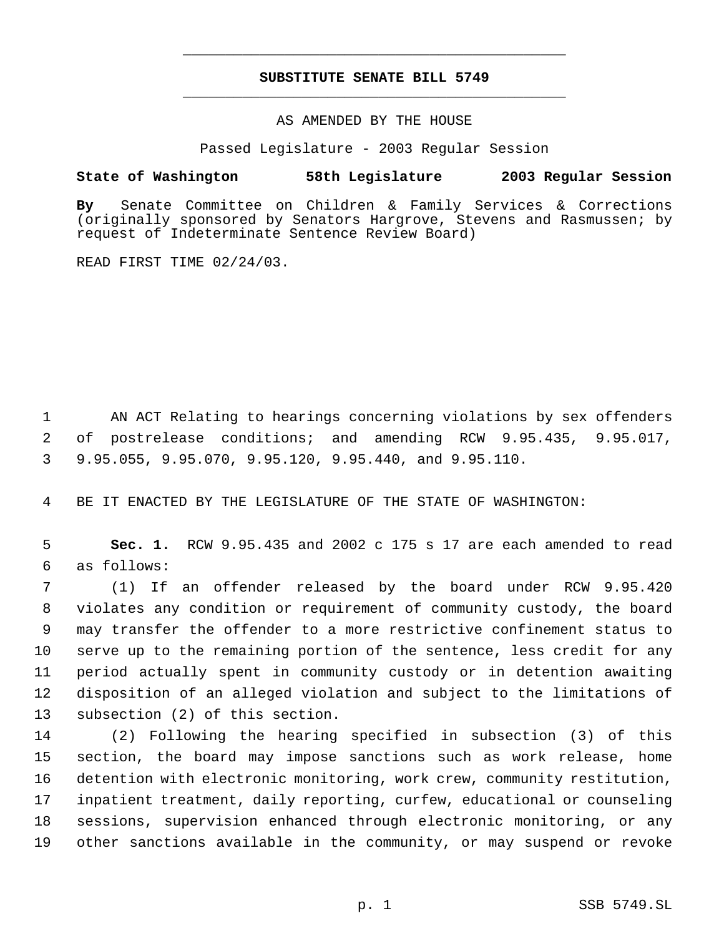## **SUBSTITUTE SENATE BILL 5749** \_\_\_\_\_\_\_\_\_\_\_\_\_\_\_\_\_\_\_\_\_\_\_\_\_\_\_\_\_\_\_\_\_\_\_\_\_\_\_\_\_\_\_\_\_

\_\_\_\_\_\_\_\_\_\_\_\_\_\_\_\_\_\_\_\_\_\_\_\_\_\_\_\_\_\_\_\_\_\_\_\_\_\_\_\_\_\_\_\_\_

AS AMENDED BY THE HOUSE

Passed Legislature - 2003 Regular Session

## **State of Washington 58th Legislature 2003 Regular Session**

**By** Senate Committee on Children & Family Services & Corrections (originally sponsored by Senators Hargrove, Stevens and Rasmussen; by request of Indeterminate Sentence Review Board)

READ FIRST TIME 02/24/03.

 AN ACT Relating to hearings concerning violations by sex offenders of postrelease conditions; and amending RCW 9.95.435, 9.95.017, 9.95.055, 9.95.070, 9.95.120, 9.95.440, and 9.95.110.

BE IT ENACTED BY THE LEGISLATURE OF THE STATE OF WASHINGTON:

 **Sec. 1.** RCW 9.95.435 and 2002 c 175 s 17 are each amended to read as follows:

 (1) If an offender released by the board under RCW 9.95.420 violates any condition or requirement of community custody, the board may transfer the offender to a more restrictive confinement status to serve up to the remaining portion of the sentence, less credit for any period actually spent in community custody or in detention awaiting disposition of an alleged violation and subject to the limitations of subsection (2) of this section.

 (2) Following the hearing specified in subsection (3) of this section, the board may impose sanctions such as work release, home detention with electronic monitoring, work crew, community restitution, inpatient treatment, daily reporting, curfew, educational or counseling sessions, supervision enhanced through electronic monitoring, or any other sanctions available in the community, or may suspend or revoke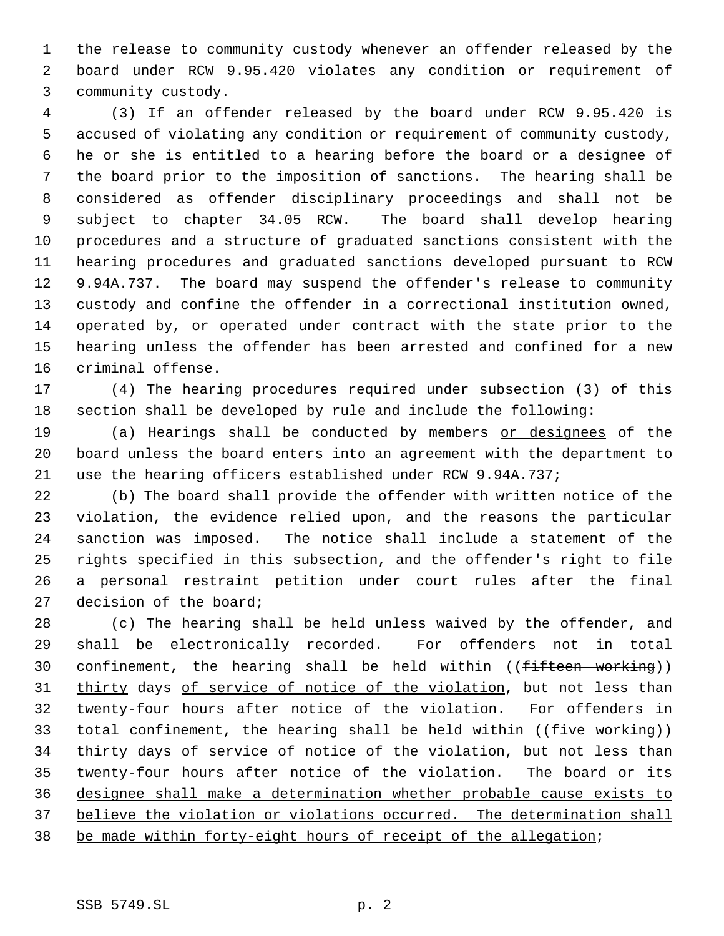the release to community custody whenever an offender released by the board under RCW 9.95.420 violates any condition or requirement of community custody.

 (3) If an offender released by the board under RCW 9.95.420 is accused of violating any condition or requirement of community custody, 6 he or she is entitled to a hearing before the board or a designee of the board prior to the imposition of sanctions. The hearing shall be considered as offender disciplinary proceedings and shall not be subject to chapter 34.05 RCW. The board shall develop hearing procedures and a structure of graduated sanctions consistent with the hearing procedures and graduated sanctions developed pursuant to RCW 9.94A.737. The board may suspend the offender's release to community custody and confine the offender in a correctional institution owned, operated by, or operated under contract with the state prior to the hearing unless the offender has been arrested and confined for a new criminal offense.

 (4) The hearing procedures required under subsection (3) of this section shall be developed by rule and include the following:

19 (a) Hearings shall be conducted by members or designees of the board unless the board enters into an agreement with the department to use the hearing officers established under RCW 9.94A.737;

 (b) The board shall provide the offender with written notice of the violation, the evidence relied upon, and the reasons the particular sanction was imposed. The notice shall include a statement of the rights specified in this subsection, and the offender's right to file a personal restraint petition under court rules after the final decision of the board;

 (c) The hearing shall be held unless waived by the offender, and shall be electronically recorded. For offenders not in total 30 confinement, the hearing shall be held within  $($  (fifteen working)) 31 thirty days of service of notice of the violation, but not less than twenty-four hours after notice of the violation. For offenders in 33 total confinement, the hearing shall be held within  $((f<sub>tree</sub> <sub>working</sub>))$ 34 thirty days of service of notice of the violation, but not less than 35 twenty-four hours after notice of the violation. The board or its designee shall make a determination whether probable cause exists to 37 believe the violation or violations occurred. The determination shall be made within forty-eight hours of receipt of the allegation;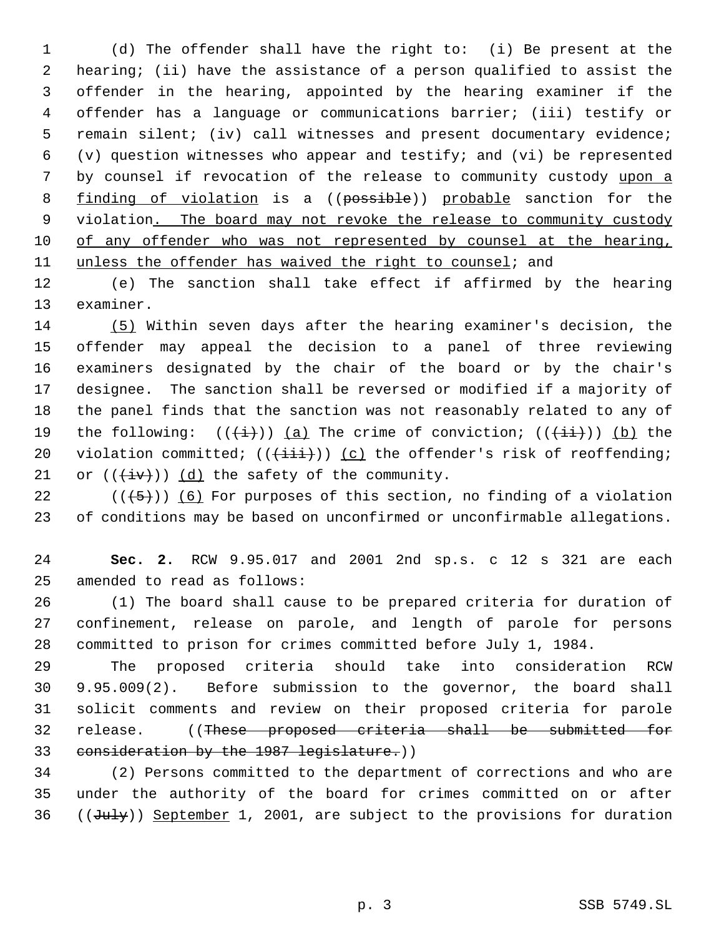(d) The offender shall have the right to: (i) Be present at the hearing; (ii) have the assistance of a person qualified to assist the offender in the hearing, appointed by the hearing examiner if the offender has a language or communications barrier; (iii) testify or remain silent; (iv) call witnesses and present documentary evidence; (v) question witnesses who appear and testify; and (vi) be represented 7 by counsel if revocation of the release to community custody upon a 8 finding of violation is a ((possible)) probable sanction for the 9 violation. The board may not revoke the release to community custody of any offender who was not represented by counsel at the hearing, unless the offender has waived the right to counsel; and

 (e) The sanction shall take effect if affirmed by the hearing examiner.

 (5) Within seven days after the hearing examiner's decision, the offender may appeal the decision to a panel of three reviewing examiners designated by the chair of the board or by the chair's designee. The sanction shall be reversed or modified if a majority of the panel finds that the sanction was not reasonably related to any of 19 the following:  $((\overleftrightarrow{t}))$  (a) The crime of conviction;  $((\overleftrightarrow{t})))$  (b) the 20 violation committed;  $((+iii))$  (c) the offender's risk of reoffending; 21 or  $((\overleftrightarrow{iv}))$   $(d)$  the safety of the community.

22  $((+5))$  (6) For purposes of this section, no finding of a violation of conditions may be based on unconfirmed or unconfirmable allegations.

 **Sec. 2.** RCW 9.95.017 and 2001 2nd sp.s. c 12 s 321 are each amended to read as follows:

 (1) The board shall cause to be prepared criteria for duration of confinement, release on parole, and length of parole for persons committed to prison for crimes committed before July 1, 1984.

 The proposed criteria should take into consideration RCW 9.95.009(2). Before submission to the governor, the board shall solicit comments and review on their proposed criteria for parole release. ((These proposed criteria shall be submitted for 33 consideration by the 1987 legislature.))

 (2) Persons committed to the department of corrections and who are under the authority of the board for crimes committed on or after 36  $((\text{July})$  September 1, 2001, are subject to the provisions for duration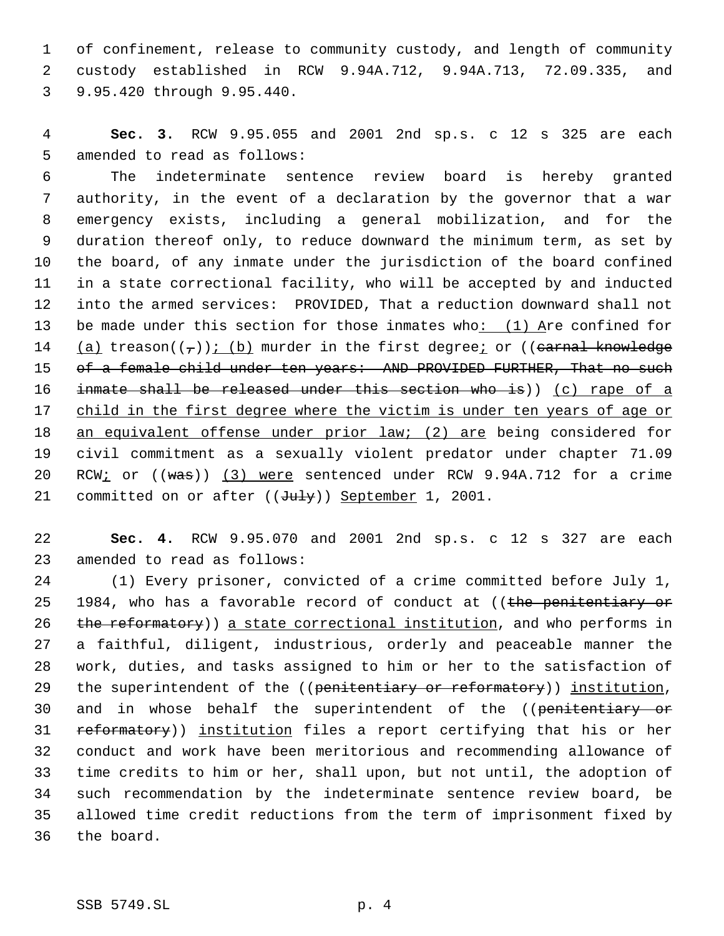of confinement, release to community custody, and length of community custody established in RCW 9.94A.712, 9.94A.713, 72.09.335, and 9.95.420 through 9.95.440.

 **Sec. 3.** RCW 9.95.055 and 2001 2nd sp.s. c 12 s 325 are each amended to read as follows:

 The indeterminate sentence review board is hereby granted authority, in the event of a declaration by the governor that a war emergency exists, including a general mobilization, and for the duration thereof only, to reduce downward the minimum term, as set by the board, of any inmate under the jurisdiction of the board confined in a state correctional facility, who will be accepted by and inducted into the armed services: PROVIDED, That a reduction downward shall not be made under this section for those inmates who: (1) Are confined for 14 (a) treason( $(\tau)$ ); (b) murder in the first degree; or ((carnal knowledge 15 of a female child under ten years: AND PROVIDED FURTHER, That no such inmate shall be released under this section who is)) (c) rape of a 17 child in the first degree where the victim is under ten years of age or an equivalent offense under prior law; (2) are being considered for civil commitment as a sexually violent predator under chapter 71.09 RCW; or ((was)) (3) were sentenced under RCW 9.94A.712 for a crime 21 committed on or after ((July)) September 1, 2001.

 **Sec. 4.** RCW 9.95.070 and 2001 2nd sp.s. c 12 s 327 are each amended to read as follows:

 (1) Every prisoner, convicted of a crime committed before July 1, 25 1984, who has a favorable record of conduct at ((the penitentiary or 26 the reformatory)) a state correctional institution, and who performs in a faithful, diligent, industrious, orderly and peaceable manner the work, duties, and tasks assigned to him or her to the satisfaction of 29 the superintendent of the ((penitentiary or reformatory)) institution, 30 and in whose behalf the superintendent of the ((penitentiary or 31 reformatory)) institution files a report certifying that his or her conduct and work have been meritorious and recommending allowance of time credits to him or her, shall upon, but not until, the adoption of such recommendation by the indeterminate sentence review board, be allowed time credit reductions from the term of imprisonment fixed by the board.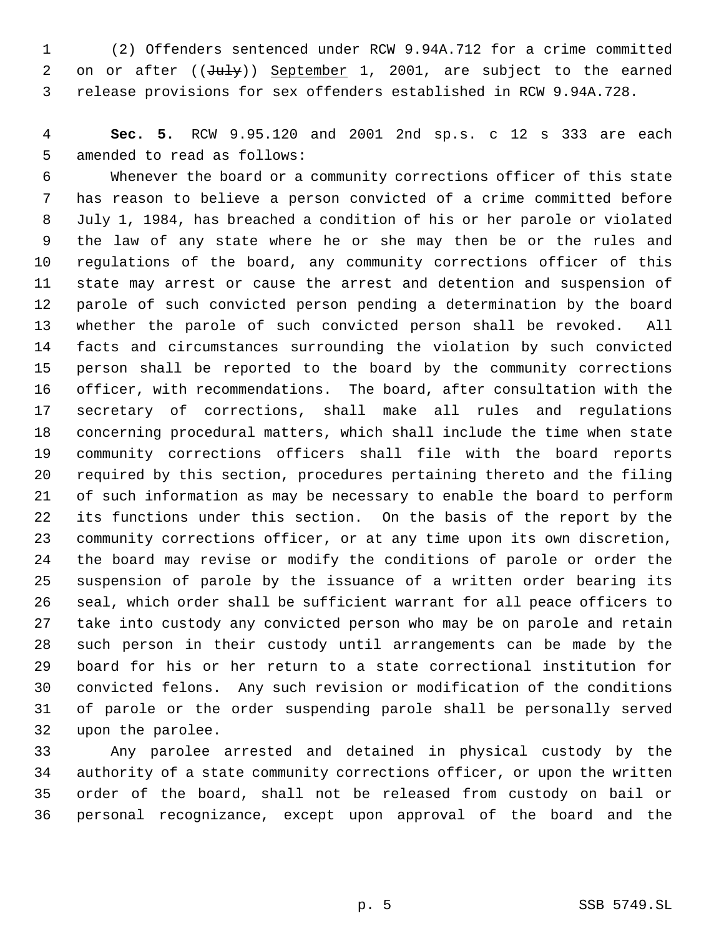(2) Offenders sentenced under RCW 9.94A.712 for a crime committed 2 on or after ((July)) September 1, 2001, are subject to the earned release provisions for sex offenders established in RCW 9.94A.728.

 **Sec. 5.** RCW 9.95.120 and 2001 2nd sp.s. c 12 s 333 are each amended to read as follows:

 Whenever the board or a community corrections officer of this state has reason to believe a person convicted of a crime committed before July 1, 1984, has breached a condition of his or her parole or violated the law of any state where he or she may then be or the rules and regulations of the board, any community corrections officer of this state may arrest or cause the arrest and detention and suspension of parole of such convicted person pending a determination by the board whether the parole of such convicted person shall be revoked. All facts and circumstances surrounding the violation by such convicted person shall be reported to the board by the community corrections officer, with recommendations. The board, after consultation with the secretary of corrections, shall make all rules and regulations concerning procedural matters, which shall include the time when state community corrections officers shall file with the board reports required by this section, procedures pertaining thereto and the filing of such information as may be necessary to enable the board to perform its functions under this section. On the basis of the report by the community corrections officer, or at any time upon its own discretion, the board may revise or modify the conditions of parole or order the suspension of parole by the issuance of a written order bearing its seal, which order shall be sufficient warrant for all peace officers to take into custody any convicted person who may be on parole and retain such person in their custody until arrangements can be made by the board for his or her return to a state correctional institution for convicted felons. Any such revision or modification of the conditions of parole or the order suspending parole shall be personally served upon the parolee.

 Any parolee arrested and detained in physical custody by the authority of a state community corrections officer, or upon the written order of the board, shall not be released from custody on bail or personal recognizance, except upon approval of the board and the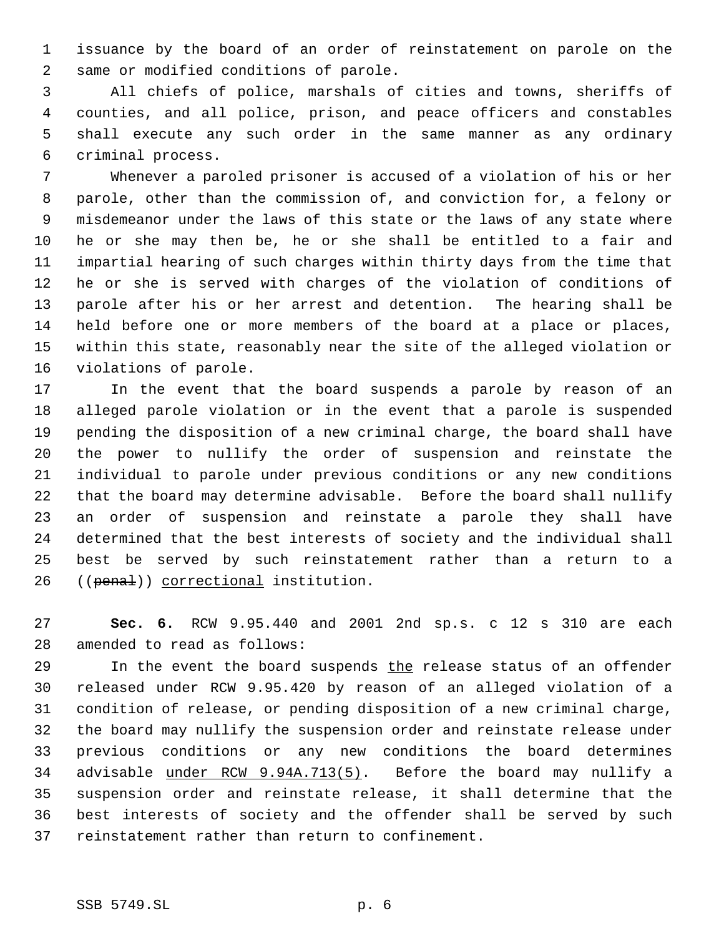issuance by the board of an order of reinstatement on parole on the same or modified conditions of parole.

 All chiefs of police, marshals of cities and towns, sheriffs of counties, and all police, prison, and peace officers and constables shall execute any such order in the same manner as any ordinary criminal process.

 Whenever a paroled prisoner is accused of a violation of his or her parole, other than the commission of, and conviction for, a felony or misdemeanor under the laws of this state or the laws of any state where he or she may then be, he or she shall be entitled to a fair and impartial hearing of such charges within thirty days from the time that he or she is served with charges of the violation of conditions of parole after his or her arrest and detention. The hearing shall be held before one or more members of the board at a place or places, within this state, reasonably near the site of the alleged violation or violations of parole.

 In the event that the board suspends a parole by reason of an alleged parole violation or in the event that a parole is suspended pending the disposition of a new criminal charge, the board shall have the power to nullify the order of suspension and reinstate the individual to parole under previous conditions or any new conditions that the board may determine advisable. Before the board shall nullify an order of suspension and reinstate a parole they shall have determined that the best interests of society and the individual shall best be served by such reinstatement rather than a return to a 26 ((penal)) correctional institution.

 **Sec. 6.** RCW 9.95.440 and 2001 2nd sp.s. c 12 s 310 are each amended to read as follows:

29 In the event the board suspends the release status of an offender released under RCW 9.95.420 by reason of an alleged violation of a condition of release, or pending disposition of a new criminal charge, the board may nullify the suspension order and reinstate release under previous conditions or any new conditions the board determines advisable under RCW 9.94A.713(5). Before the board may nullify a suspension order and reinstate release, it shall determine that the best interests of society and the offender shall be served by such reinstatement rather than return to confinement.